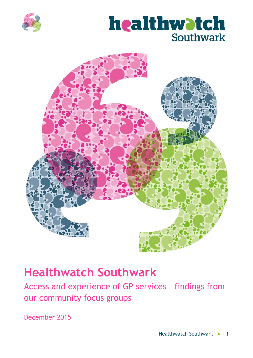



# **Healthwatch Southwark**

Access and experience of GP services – findings from our community focus groups

December 2015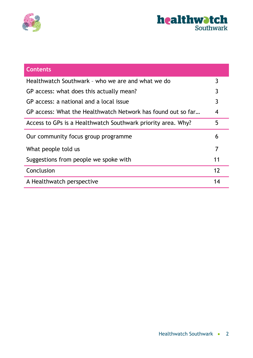



| <b>Contents</b>                                              |                |
|--------------------------------------------------------------|----------------|
| Healthwatch Southwark - who we are and what we do            | 3              |
| GP access: what does this actually mean?                     | 3              |
| GP access: a national and a local issue                      | 3              |
| GP access: What the Healthwatch Network has found out so far | $\overline{4}$ |
| Access to GPs is a Healthwatch Southwark priority area. Why? | 5              |
| Our community focus group programme                          | 6              |
| What people told us                                          | 7              |
| Suggestions from people we spoke with                        | 11             |
| Conclusion                                                   | 12             |
| A Healthwatch perspective                                    | 14             |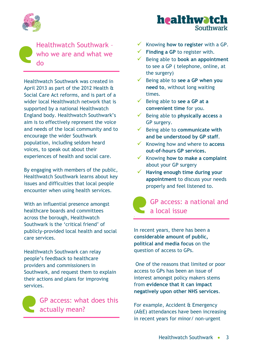

Healthwatch Southwark – who we are and what we do

Healthwatch Southwark was created in April 2013 as part of the 2012 Health & Social Care Act reforms, and is part of a wider local Healthwatch network that is supported by a national Healthwatch England body. Healthwatch Southwark's aim is to effectively represent the voice and needs of the local community and to encourage the wider Southwark population, including seldom heard voices, to speak out about their experiences of health and social care.

By engaging with members of the public, Healthwatch Southwark learns about key issues and difficulties that local people encounter when using health services.

With an influential presence amongst healthcare boards and committees across the borough, Healthwatch Southwark is the 'critical friend' of publicly-provided local health and social care services.

Healthwatch Southwark can relay people's feedback to healthcare providers and commissioners in Southwark, and request them to explain their actions and plans for improving services.



GP access: what does this actually mean?

Knowing **how to register** with a GP.

healthwatch

Southwark

- **Finding a GP** to register with.
- Being able to **book an appointment** to see a GP ( telephone, online, at the surgery)
- Being able to **see a GP when you need to**, without long waiting times.
- Being able to **see a GP at a convenient time** for you.
- Being able to **physically access** a GP surgery.
- Being able to **communicate with and be understood by GP staff**.
- Knowing how and where to **access out-of-hours GP services.**
- Knowing **how to make a complaint** about your GP surgery
- **Having enough time during your appointment** to discuss your needs properly and feel listened to.

# GP access: a national and a local issue

In recent years, there has been a **considerable amount of public, political and media focus** on the question of access to GPs.

One of the reasons that limited or poor access to GPs has been an issue of interest amongst policy makers stems from **evidence that it can impact negatively upon other NHS services**.

For example, Accident & Emergency (A&E) attendances have been increasing in recent years for minor/ non-urgent

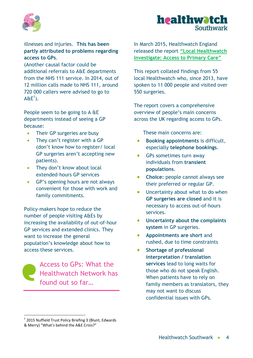



illnesses and injuries. **This has been partly attributed to problems regarding access to GPs**.

(Another causal factor could be additional referrals to A&E departments from the NHS 111 service. In 2014, out of 12 million calls made to NHS 111, around 720 000 callers were advised to go to  $A\&E^1$ ).

People seem to be going to A &E departments instead of seeing a GP because:

- Their GP surgeries are busy
- They can't register with a GP (don't know how to register/ local GP surgeries aren't accepting new patients).
- They don't know about local extended-hours GP services
- GP's opening hours are not always convenient for those with work and family commitments.

Policy-makers hope to reduce the number of people visiting A&Es by increasing the availability of out-of-hour GP services and extended clinics. They want to increase the general population's knowledge about how to access these services.

Access to GPs: What the Healthwatch Network has found out so far…

In March 2015, Healthwatch England released the report **"Local Healthwatch Investigate: Access to Primary Care"**

This report collated findings from 55 local Healthwatch who, since 2013, have spoken to 11 000 people and visited over 550 surgeries.

The report covers a comprehensive overview of people's main concerns across the UK regarding access to GPs.

These main concerns are:

- **Booking appointments** is difficult, especially **telephone bookings**.
- GPs sometimes turn away individuals from **transient populations**.
- **Choice:** people cannot always see their preferred or regular GP.
- Uncertainty about what to do when **GP surgeries are closed** and it is necessary to access out-of-hours services.
- **Uncertainty about the complaints system** in GP surgeries.
- **Appointments are short** and rushed, due to time constraints
- **Shortage of professional interpretation / translation services** lead to long waits for those who do not speak English. When patients have to rely on family members as translators, they may not want to discuss confidential issues with GPs.

1

<sup>&</sup>lt;sup>1</sup> 2015 Nuffield Trust Policy Briefing 3 (Blunt, Edwards & Merry) "What's behind the A&E Crisis?"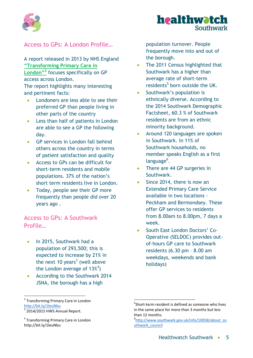



# Access to GPs: A London Profile…

A report released in 2013 by NHS England **"Transforming Primary Care in** 

**London"<sup>2</sup>** focuses specifically on GP access across London.

The report highlights many interesting and pertinent facts:

- Londoners are less able to see their preferred GP than people living in other parts of the country
- Less than half of patients in London are able to see a GP the following day.
- GP services in London fall behind others across the country in terms of patient satisfaction and quality
- Access to GPs can be difficult for short-term residents and mobile populations. 37% of the nation's short term residents live in London.
- Today, people see their GP more frequently than people did over 20 years ago .

Access to GPs: A Southwark Profile…

- In 2015, Southwark had a population of 293,500; this is expected to increase by 21% in the next 10 years<sup>3</sup> (well above the London average of  $13\%$ <sup>4</sup>)
- According to the Southwark 2014 JSNA, the borough has a high

<sup>2</sup> Transforming Primary Care in London <http://bit.ly/1leuNbu>

**.** 

population turnover. People frequently move into and out of the borough.

- The 2011 Census highlighted that Southwark has a higher than average rate of short-term residents<sup>5</sup> born outside the UK.
- Southwark's population is ethnically diverse. According to the 2014 Southwark Demographic Factsheet, 60.3 % of Southwark residents are from an ethnic minority background.
- Around 120 languages are spoken in Southwark. In 11% of Southwark households, no member speaks English as a first language<sup>6</sup>.
- There are 44 GP surgeries in Southwark.
- Since 2014, there is now an Extended Primary Care Service available in two locations - Peckham and Bermondsey. These offer GP services to residents from 8.00am to 8.00pm, 7 days a week.
- South East London Doctors' Co-Operative (SELDOC) provides outof-hours GP care to Southwark residents (6.30 pm – 8.00 am weekdays, weekends and bank holidays)

1

 $3$  2014/2015 HWS Annual Report.

<sup>4</sup> Transforming Primary Care in London http://bit.ly/1leuNbu

<sup>5</sup> Short-term resident is defined as someone who lives in the same place for more than 3 months but less than 12 months.

<sup>6</sup> [http://www.southwark.gov.uk/info/10058/about\\_so](http://www.southwark.gov.uk/info/10058/about_southwark_council) [uthwark\\_council](http://www.southwark.gov.uk/info/10058/about_southwark_council)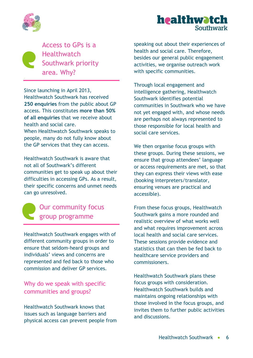



Access to GPs is a **Healthwatch** Southwark priority area. Why?

Since launching in April 2013, Healthwatch Southwark has received **250 enquiries** from the public about GP access. This constitutes **more than 50% of all enquiries** that we receive about health and social care.

When Healthwatch Southwark speaks to people, many do not fully know about the GP services that they can access.

Healthwatch Southwark is aware that not all of Southwark's different communities get to speak up about their difficulties in accessing GPs. As a result, their specific concerns and unmet needs can go unresolved.



# Our community focus group programme

Healthwatch Southwark engages with of different community groups in order to ensure that seldom-heard groups and individuals' views and concerns are represented and fed back to those who commission and deliver GP services.

# Why do we speak with specific communities and groups?

Healthwatch Southwark knows that issues such as language barriers and physical access can prevent people from speaking out about their experiences of health and social care. Therefore, besides our general public engagement activities, we organise outreach work with specific communities.

Through local engagement and intelligence gathering, Healthwatch Southwark identifies potential communities in Southwark who we have not yet engaged with, and whose needs are perhaps not always represented to those responsible for local health and social care services.

We then organise focus groups with these groups. During these sessions, we ensure that group attendees' language or access requirements are met, so that they can express their views with ease (booking interpreters/translator, ensuring venues are practical and accessible).

From these focus groups, Healthwatch Southwark gains a more rounded and realistic overview of what works well and what requires improvement across local health and social care services. These sessions provide evidence and statistics that can then be fed back to healthcare service providers and commissioners.

Healthwatch Southwark plans these focus groups with consideration. Healthwatch Southwark builds and maintains ongoing relationships with those involved in the focus groups, and invites them to further public activities and discussions.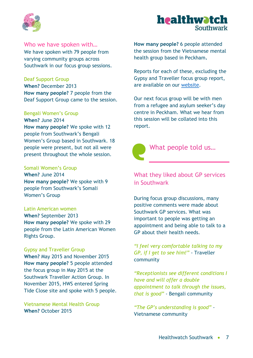



#### Who we have spoken with…

We have spoken with 79 people from varying community groups across Southwark in our focus group sessions.

Deaf Support Group

**When?** December 2013 **How many people?** 7 people from the Deaf Support Group came to the session.

#### Bengali Women's Group

**When?** June 2014 **How many people?** We spoke with 12 people from Southwark's Bengali Women's Group based in Southwark. 18 people were present, but not all were present throughout the whole session.

#### Somali Women's Group

**When?** June 2014 **How many people?** We spoke with 9 people from Southwark's Somali Women's Group

#### Latin American women

**When?** September 2013 **How many people?** We spoke with 29 people from the Latin American Women Rights Group.

#### Gypsy and Traveller Group

**When?** May 2015 and November 2015 **How many people?** 5 people attended the focus group in May 2015 at the Southwark Traveller Action Group. In November 2015, HWS entered Spring Tide Close site and spoke with 5 people.

Vietnamese Mental Health Group **When?** October 2015

**How many people?** 6 people attended the session from the Vietnamese mental health group based in Peckham**.** 

Reports for each of these, excluding the Gypsy and Traveller focus group report, are available on our [website.](http://healthwatchsouthwark.co.uk/reports)

Our next focus group will be with men from a refugee and asylum seeker's day centre in Peckham. What we hear from this session will be collated into this report.



# What people told us…

# What they liked about GP services in Southwark

During focus group discussions, many positive comments were made about Southwark GP services. What was important to people was getting an appointment and being able to talk to a GP about their health needs.

*"I feel very comfortable talking to my GP, if I get to see him!"* - Traveller community

*"Receptionists see different conditions I have and will offer a double appointment to talk through the issues, that is good"* - Bengali community

*"The GP's understanding is good"* - Vietnamese community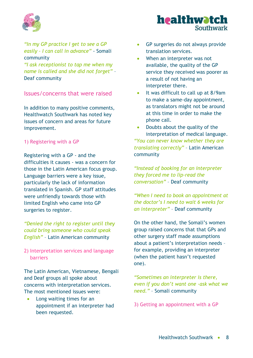

*"In my GP practice I get to see a GP easily – I can call in advance"* - Somali community

*"I ask receptionist to tap me when my name is called and she did not forget"* – Deaf community

### Issues/concerns that were raised

In addition to many positive comments, Healthwatch Southwark has noted key issues of concern and areas for future improvement.

#### 1) Registering with a GP

Registering with a GP - and the difficulties it causes - was a concern for those in the Latin American focus group. Language barriers were a key issue, particularly the lack of information translated in Spanish. GP staff attitudes were unfriendly towards those with limited English who came into GP surgeries to register.

*"Denied the right to register until they could bring someone who could speak English"* – Latin American community

#### 2) Interpretation services and language barriers

The Latin American, Vietnamese, Bengali and Deaf groups all spoke about concerns with interpretation services. The most mentioned issues were:

• Long waiting times for an appointment if an interpreter had been requested.

- GP surgeries do not always provide translation services.
- When an interpreter was not available, the quality of the GP service they received was poorer as a result of not having an interpreter there.
- It was difficult to call up at 8/9am to make a same-day appointment, as translators might not be around at this time in order to make the phone call.

 Doubts about the quality of the interpretation of medical language. *"You can never know whether they are translating correctly"* – Latin American community

*"Instead of booking for an interpreter they forced me to lip-read the conversation"* – Deaf community

*"When I need to book an appointment at the doctor's I need to wait 6 weeks for an interpreter"* – Deaf community

On the other hand, the Somali's women group raised concerns that that GPs and other surgery staff made assumptions about a patient's interpretation needs – for example, providing an interpreter (when the patient hasn't requested one).

*"Sometimes an interpreter is there, even if you don't want one -ask what we need."* – Somali community

3) Getting an appointment with a GP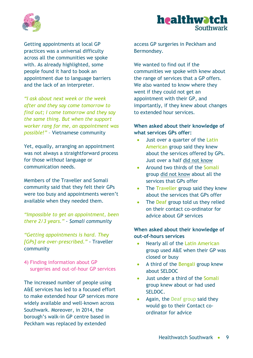



Getting appointments at local GP practices was a universal difficulty across all the communities we spoke with. As already highlighted, some people found it hard to book an appointment due to language barriers and the lack of an interpreter.

*"I ask about next week or the week after and they say come tomorrow to find out; I come tomorrow and they say the same thing. But when the support worker rang for me, an appointment was possible!"* – Vietnamese community

Yet, equally, arranging an appointment was not always a straightforward process for those *without* language or communication needs.

Members of the Traveller and Somali community said that they felt their GPs were too busy and appointments weren't available when they needed them.

*"Impossible to get an appointment, been there 2/3 years." - Somali community*

*"Getting appointments is hard. They [GPs] are over-prescribed."* - Traveller community

4) Finding information about GP surgeries and out-of-hour GP services

The increased number of people using A&E services has led to a focused effort to make extended hour GP services more widely available and well-known across Southwark. Moreover, in 2014, the borough's walk-in GP centre based in Peckham was replaced by extended

access GP surgeries in Peckham and Bermondsey.

We wanted to find out if the communities we spoke with knew about the range of services that a GP offers. We also wanted to know where they went if they could not get an appointment with their GP, and importantly, if they knew about changes to extended hour services.

#### **When asked about their knowledge of what services GPs offer:**

- Just over a quarter of the Latin American group said they knew about the services offered by GPs. Just over a half did not know
- Around two thirds of the Somali group did not know about all the services that GPs offer
- The Traveller group said they knew about the services that GPs offer
- The Deaf group told us they relied on their contact co-ordinator for advice about GP services

#### **When asked about their knowledge of out-of-hours services**

- Nearly all of the Latin American group used A&E when their GP was closed or busy
- A third of the Bengali group knew about SELDOC
- Just under a third of the Somali group knew about or had used SELDOC.
- Again, the Deaf group said they would go to their Contact coordinator for advice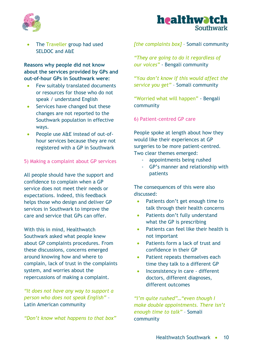



 The Traveller group had used SELDOC and A&E

**Reasons why people did not know about the services provided by GPs and out-of-hour GPs in Southwark were:**

- Few suitably translated documents or resources for those who do not speak / understand English
- Services have changed but these changes are not reported to the Southwark population in effective ways.
- People use A&E instead of out-ofhour services because they are not registered with a GP in Southwark

#### 5) Making a complaint about GP services

All people should have the support and confidence to complain when a GP service does not meet their needs or expectations. Indeed, this feedback helps those who design and deliver GP services in Southwark to improve the care and service that GPs can offer.

With this in mind, Healthwatch Southwark asked what people knew about GP complaints procedures. From these discussions, concerns emerged around knowing how and where to complain, lack of trust in the complaints system, and worries about the repercussions of making a complaint.

*"It does not have any way to support a person who does not speak English"* – Latin American community

*"Don't know what happens to that box"*

*[the complaints box]* – Somali community

*"They are going to do it regardless of our voices"* - Bengali community

"Y*ou don't know if this would affect the service you get"* – Somali community

"Worried what will happen" - Bengali community

#### 6) Patient-centred GP care

People spoke at length about how they would like their experiences at GP surgeries to be more patient-centred. Two clear themes emerged:

- appointments being rushed
- GP's manner and relationship with patients

The consequences of this were also discussed:

- Patients don't get enough time to talk through their health concerns
- Patients don't fully understand what the GP is prescribing
- Patients can feel like their health is not important
- Patients form a lack of trust and confidence in their GP
- Patient repeats themselves each time they talk to a different GP
- Inconsistency in care different doctors, different diagnoses, different outcomes

*"I'm quite rushed"…"even though I make double appointments. There isn't enough time to talk"* – Somali community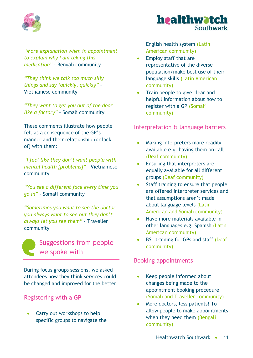

*"More explanation when in appointment to explain why I am taking this medication"* - Bengali community

*"They think we talk too much silly things and say 'quickly, quickly"* – Vietnamese community

*"They want to get you out of the door like a factory"* – Somali community

These comments illustrate how people felt as a consequence of the GP's manner and their relationship (or lack of) with them:

*"I feel like they don't want people with mental health [problems]"* – Vietnamese community

*"You see a different face every time you go in"* – Somali community

*"Sometimes you want to see the doctor you always want to see but they don't always let you see them"* - Traveller community



During focus groups sessions, we asked attendees how they think services could be changed and improved for the better.

# Registering with a GP

 Carry out workshops to help specific groups to navigate the English health system (Latin American community)

- Employ staff that are representative of the diverse population/make best use of their language skills (Latin American community)
- Train people to give clear and helpful information about how to register with a GP (Somali community)

# Interpretation & language barriers

- Making interpreters more readily available e.g. having them on call (Deaf community)
- Ensuring that interpreters are equally available for all different groups (Deaf community)
- Staff training to ensure that people are offered interpreter services and that assumptions aren't made about language levels (Latin American and Somali community)
- Have more materials available in other languages e.g. Spanish (Latin American community)
- BSL training for GPs and staff (Deaf community)

# Booking appointments

- Keep people informed about changes being made to the appointment booking procedure (Somali and Traveller community)
- More doctors, less patients! To allow people to make appointments when they need them (Bengali community)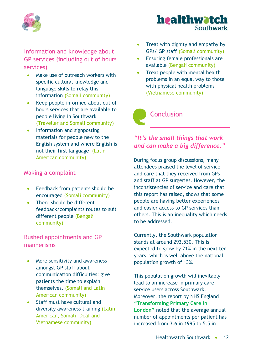

Information and knowledge about GP services (including out of hours services)

- Make use of outreach workers with specific cultural knowledge and language skills to relay this information (Somali community)
- Keep people informed about out of hours services that are available to people living in Southwark (Traveller and Somali community)
- Information and signposting materials for people new to the English system and where English is not their first language (Latin American community)

# Making a complaint

- Feedback from patients should be encouraged (Somali community)
- There should be different feedback/complaints routes to suit different people (Bengali community)

# Rushed appointments and GP mannerisms

- More sensitivity and awareness amongst GP staff about communication difficulties: give patients the time to explain themselves. (Somali and Latin American community)
- Staff must have cultural and diversity awareness training (Latin American, Somali, Deaf and Vietnamese community)
- Treat with dignity and empathy by GPs/ GP staff (Somali community)
- Ensuring female professionals are available (Bengali community)
- Treat people with mental health problems in an equal way to those with physical health problems (Vietnamese community)

Conclusion

# *"It's the small things that work and can make a big difference."*

During focus group discussions, many attendees praised the level of service and care that they received from GPs and staff at GP surgeries. However, the inconsistencies of service and care that this report has raised, shows that some people are having better experiences and easier access to GP services than others. This is an inequality which needs to be addressed.

Currently, the Southwark population stands at around 293,530. This is expected to grow by 21% in the next ten years, which is well above the national population growth of 13%.

This population growth will inevitably lead to an increase in primary care service users across Southwark. Moreover, the report by NHS England **"Transforming Primary Care in London"** noted that the average annual number of appointments per patient has increased from 3.6 in 1995 to 5.5 in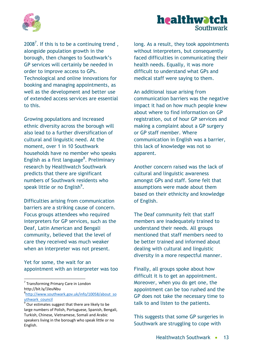



 $2008<sup>7</sup>$ . If this is to be a continuing trend, alongside population growth in the borough, then changes to Southwark's GP services will certainly be needed in order to improve access to GPs. Technological and online innovations for booking and managing appointments, as well as the development and better use of extended access services are essential to this.

Growing populations and increased ethnic diversity across the borough will also lead to a further diversification of cultural and linguistic need. At the moment, over 1 in 10 Southwark households have no member who speaks English as a first language<sup>8</sup>. Preliminary research by Healthwatch Southwark predicts that there are significant numbers of Southwark residents who speak little or no English<sup>9</sup>.

Difficulties arising from communication barriers are a striking cause of concern. Focus groups attendees who required interpreters for GP services, such as the Deaf, Latin American and Bengali community, believed that the level of care they received was much weaker when an interpreter was not present.

Yet for some, the wait for an appointment with an interpreter was too

1

long. As a result, they took appointments without interpreters, but consequently faced difficulties in communicating their health needs. Equally, it was more difficult to understand what GPs and medical staff were saying to them.

An additional issue arising from communication barriers was the negative impact it had on how much people knew about where to find information on GP registration, out of hour GP services and making a complaint about a GP surgery or GP staff member. Where communication in English was a barrier, this lack of knowledge was not so apparent.

Another concern raised was the lack of cultural and linguistic awareness amongst GPs and staff. Some felt that assumptions were made about them based on their ethnicity and knowledge of English.

The Deaf community felt that staff members are inadequately trained to understand their needs. All groups mentioned that staff members need to be better trained and informed about dealing with cultural and linguistic diversity in a more respectful manner.

Finally, all groups spoke about how difficult it is to get an appointment. Moreover, when you do get one, the appointment can be too rushed and the GP does not take the necessary time to talk to and listen to the patients.

This suggests that some GP surgeries in Southwark are struggling to cope with

<sup>&</sup>lt;sup>7</sup> Transforming Primary Care in London http://bit.ly/1leuNbu

<sup>8</sup> [http://www.southwark.gov.uk/info/10058/about\\_so](http://www.southwark.gov.uk/info/10058/about_southwark_council) [uthwark\\_council](http://www.southwark.gov.uk/info/10058/about_southwark_council) 

 $9$  Our estimates suggest that there are likely to be large numbers of Polish, Portuguese, Spanish, Bengali, Turkish, Chinese, Vietnamese, Somali and Arabic speakers living in the borough who speak little or no English.